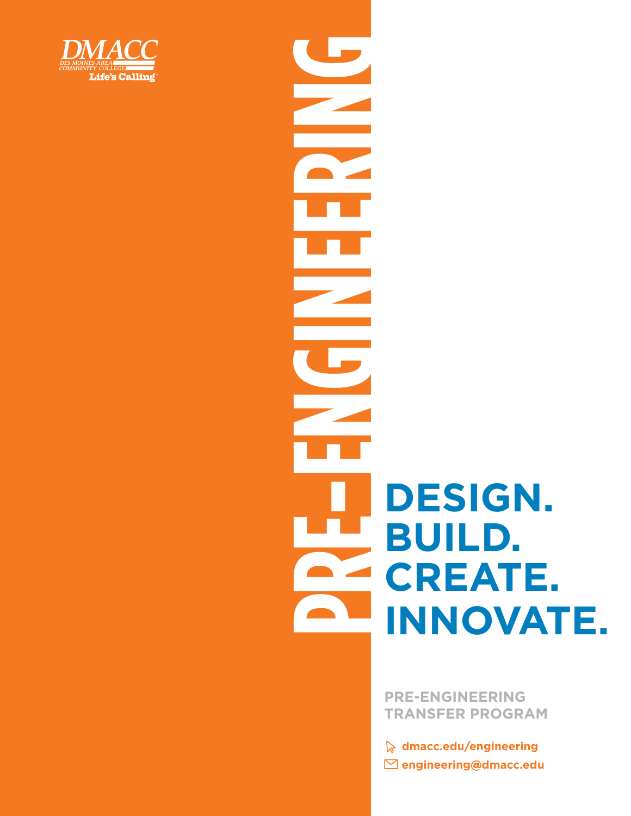

# **PREAFERING**<br> **PRESIGN.**<br> **PREAFERING CREATE.**<br> **PREAFERING CREATE. BUILD. CREATE. INNOVATE.**

**PRE-ENGINEERING TRANSFER PROGRAM** 

**[dmacc.edu/engineering](https://dmacc.edu/engineering)  [engineering@dmacc.edu](mailto:engineering@dmacc.edu)**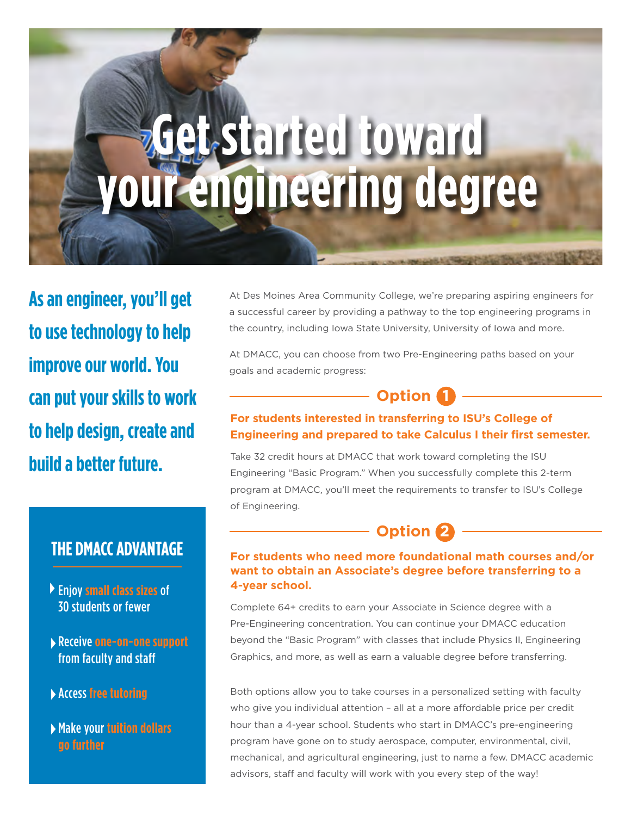# **Get started toward your engineering degree**

**As an engineer, you'll get to use technology to help improve our world. You can put your skills to work to help design, create and build a better future.** 

#### **THE DMACC ADVANTAGE**

- Enjoy **small class sizes** of 30 students or fewer
- Receive **one-on-one support**  from faculty and staff
- Access **free tutoring**
- Make your **tuition dollars go further**

At Des Moines Area Community College, we're preparing aspiring engineers for a successful career by providing a pathway to the top engineering programs in the country, including Iowa State University, University of Iowa and more.

At DMACC, you can choose from two Pre-Engineering paths based on your goals and academic progress:

#### **Option 1**

#### **For students interested in transferring to ISU's College of Engineering and prepared to take Calculus I their first semester.**

Take 32 credit hours at DMACC that work toward completing the ISU Engineering "Basic Program." When you successfully complete this 2-term program at DMACC, you'll meet the requirements to transfer to ISU's College of Engineering.

### **Option 2**

#### **For students who need more foundational math courses and/or want to obtain an Associate's degree before transferring to a 4-year school.**

Complete 64+ credits to earn your Associate in Science degree with a Pre-Engineering concentration. You can continue your DMACC education beyond the "Basic Program" with classes that include Physics II, Engineering Graphics, and more, as well as earn a valuable degree before transferring.

Both options allow you to take courses in a personalized setting with faculty who give you individual attention – all at a more affordable price per credit hour than a 4-year school. Students who start in DMACC's pre-engineering program have gone on to study aerospace, computer, environmental, civil, mechanical, and agricultural engineering, just to name a few. DMACC academic advisors, staff and faculty will work with you every step of the way!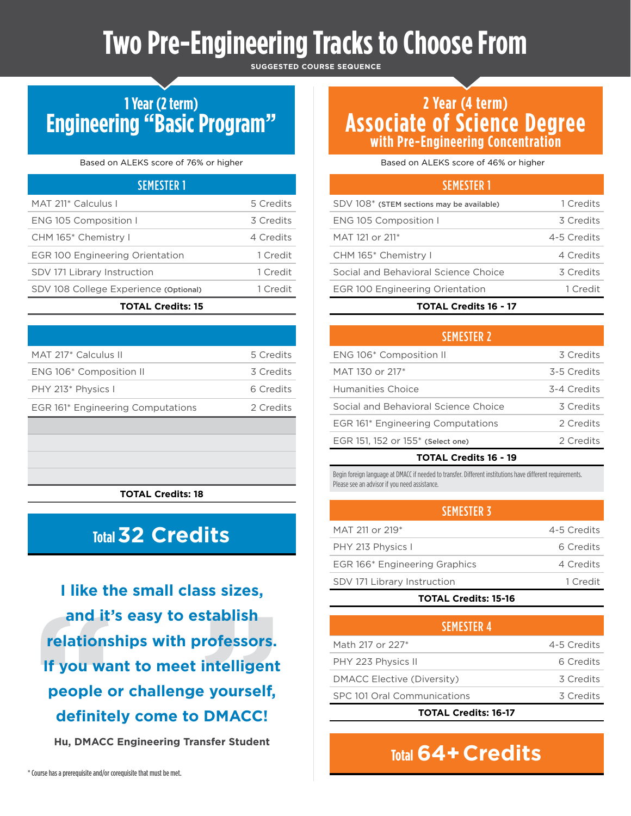# **Two Pre-Engineering Tracks to Choose From**

**SUGGESTED COURSE SEQUENCE** 

## **1 Year (2 term) Engineering "Basic Program"**

#### Based on ALEKS score of 76% or higher

| <b>SEMESTER 1</b>                      |           |
|----------------------------------------|-----------|
| MAT 211* Calculus I                    | 5 Credits |
| ENG 105 Composition I                  | 3 Credits |
| CHM 165* Chemistry I                   | 4 Credits |
| <b>EGR 100 Engineering Orientation</b> | 1 Credit  |
| SDV 171 Library Instruction            | 1 Credit  |
| SDV 108 College Experience (Optional)  | 1 Credit  |
| <b>TOTAL Credits: 15</b>               |           |

| MAT 217 <sup>*</sup> Calculus II  | 5 Credits |
|-----------------------------------|-----------|
| ENG 106* Composition II           | 3 Credits |
| PHY 213* Physics I                | 6 Credits |
| EGR 161* Engineering Computations | 2 Credits |

**TOTAL Credits: 18** 

# **Total 32 Credits**

and it's easy to establish<br>relationships with professors.<br>If you want to meet intelligent<br>people or challenge yourself,<br>definitely come to DMACC!<br>Hu, DMACC Engineering Transfer Student **I like the small class sizes, and it's easy to establish relationships with professors. If you want to meet intelligent people or challenge yourself, defnitely come to DMACC!** 

**Hu, DMACC Engineering Transfer Student** 

#### **2 Year (4 term) Associate of Science Degree with Pre-Engineering Concentration with Pre-Engineering Concentration**

Based on ALEKS score of 46% or higher

#### SEMESTER 1

| SDV 108* (STEM sections may be available) | 1 Credits   |
|-------------------------------------------|-------------|
| ENG 105 Composition I                     | 3 Credits   |
| MAT 121 or 211 <sup>*</sup>               | 4-5 Credits |
| CHM 165* Chemistry I                      | 4 Credits   |
| Social and Behavioral Science Choice      | 3 Credits   |
| <b>EGR 100 Engineering Orientation</b>    | 1 Credit    |
|                                           |             |

#### **TOTAL Credits 16 - 17**

| <b>SEMESTER 2</b>                             |             |
|-----------------------------------------------|-------------|
| ENG 106* Composition II                       | 3 Credits   |
| MAT 130 or 217*                               | 3-5 Credits |
| Humanities Choice                             | 3-4 Credits |
| Social and Behavioral Science Choice          | 3 Credits   |
| EGR 161* Engineering Computations             | 2 Credits   |
| EGR 151, 152 or 155 <sup>*</sup> (Select one) | 2 Credits   |
|                                               |             |

#### **TOTAL Credits 16 - 19**

Begin foreign language at DMACC if needed to transfer. Different institutions have different requirements. Please see an advisor if you need assistance.

| <b>SEMESTER 3</b>             |             |
|-------------------------------|-------------|
| MAT 211 or 219*               | 4-5 Credits |
| PHY 213 Physics I             | 6 Credits   |
| EGR 166* Engineering Graphics | 4 Credits   |
| SDV 171 Library Instruction   | 1 Credit    |

#### **TOTAL Credits: 15-16**

| <b>SEMESTER 4</b>           |             |
|-----------------------------|-------------|
| Math 217 or 227*            | 4-5 Credits |
| PHY 223 Physics II          | 6 Credits   |
| DMACC Elective (Diversity)  | 3 Credits   |
| SPC 101 Oral Communications | 3 Credits   |
|                             |             |

**TOTAL Credits: 16-17** 

# **Total 64+Credits**